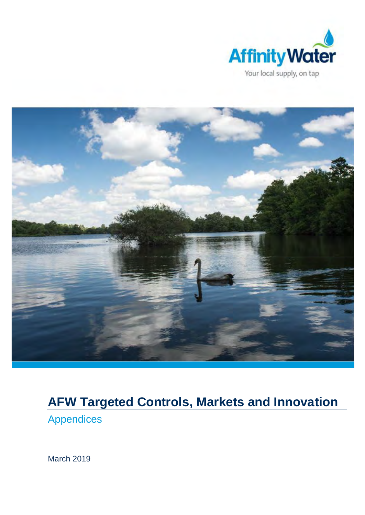



# **AFW Targeted Controls, Markets and Innovation**

Appendices

March 2019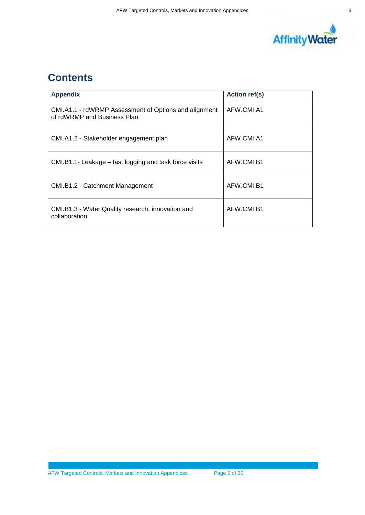

# **Contents**

| <b>Appendix</b>                                                                      | <b>Action ref(s)</b> |
|--------------------------------------------------------------------------------------|----------------------|
| CMI.A1.1 - rdWRMP Assessment of Options and alignment<br>of rdWRMP and Business Plan | AFW.CMI.A1           |
| CMI.A1.2 - Stakeholder engagement plan                                               | AFW.CMI.A1           |
| CMI.B1.1- Leakage - fast logging and task force visits                               | AFW CMLB1            |
| CMI.B1.2 - Catchment Management                                                      | AFW.CMI.B1           |
| CMI.B1.3 - Water Quality research, innovation and<br>collaboration                   | AFW CMLB1            |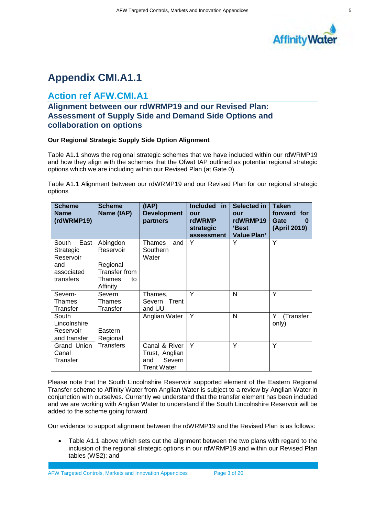

# **Appendix CMI.A1.1**

### **Action ref AFW.CMI.A1**

### **Alignment between our rdWRMP19 and our Revised Plan: Assessment of Supply Side and Demand Side Options and collaboration on options**

#### **Our Regional Strategic Supply Side Option Alignment**

Table A1.1 shows the regional strategic schemes that we have included within our rdWRMP19 and how they align with the schemes that the Ofwat IAP outlined as potential regional strategic options which we are including within our Revised Plan (at Gate 0).

Table A1.1 Alignment between our rdWRMP19 and our Revised Plan for our regional strategic options

| <b>Scheme</b><br><b>Name</b><br>(rdWRMP19)                                | <b>Scheme</b><br>Name (IAP)                                                    | (IAP)<br><b>Development</b><br>partners                         | Included in<br>our<br>rdWRMP<br>strategic<br>assessment | Selected in<br>our<br>rdWRMP19<br>'Best<br><b>Value Plan'</b> | <b>Taken</b><br>forward for<br><b>Gate</b><br>0<br>(April 2019) |
|---------------------------------------------------------------------------|--------------------------------------------------------------------------------|-----------------------------------------------------------------|---------------------------------------------------------|---------------------------------------------------------------|-----------------------------------------------------------------|
| South<br>East<br>Strategic<br>Reservoir<br>and<br>associated<br>transfers | Abingdon<br>Reservoir<br>Regional<br>Transfer from<br>Thames<br>to<br>Affinity | Thames<br>and<br>Southern<br>Water                              | Y                                                       | Y                                                             | Y                                                               |
| Severn-<br>Thames<br>Transfer                                             | Severn<br>Thames<br>Transfer                                                   | Thames,<br>Trent<br>Severn<br>and UU                            | Υ                                                       | N                                                             | Y                                                               |
| South<br>Lincolnshire<br>Reservoir<br>and transfer                        | Eastern<br>Regional                                                            | Anglian Water                                                   | Y                                                       | N                                                             | Y<br>(Transfer<br>only)                                         |
| Grand Union<br>Canal<br>Transfer                                          | Transfers                                                                      | Canal & River<br>Trust, Anglian<br>Severn<br>and<br>Trent Water | Υ                                                       | Υ                                                             | Y                                                               |

Please note that the South Lincolnshire Reservoir supported element of the Eastern Regional Transfer scheme to Affinity Water from Anglian Water is subject to a review by Anglian Water in conjunction with ourselves. Currently we understand that the transfer element has been included and we are working with Anglian Water to understand if the South Lincolnshire Reservoir will be added to the scheme going forward.

Our evidence to support alignment between the rdWRMP19 and the Revised Plan is as follows:

Table A1.1 above which sets out the alignment between the two plans with regard to the inclusion of the regional strategic options in our rdWRMP19 and within our Revised Plan tables (WS2); and

AFW Targeted Controls, Markets and Innovation Appendices Page 3 of 20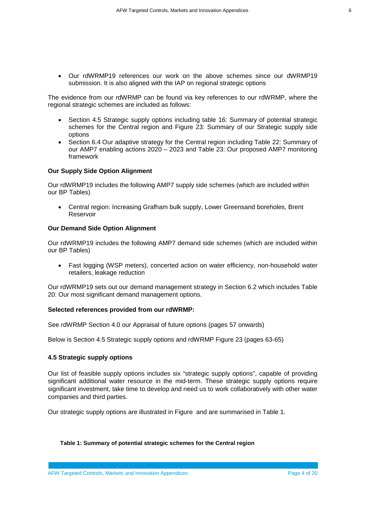∑ Our rdWRMP19 references our work on the above schemes since our dWRMP19 submission. It is also aligned with the IAP on regional strategic options

The evidence from our rdWRMP can be found via key references to our rdWRMP, where the regional strategic schemes are included as follows:

- Section 4.5 Strategic supply options including table 16: Summary of potential strategic schemes for the Central region and Figure 23: Summary of our Strategic supply side options
- ∑ Section 6.4 Our adaptive strategy for the Central region including Table 22: Summary of our AMP7 enabling actions 2020 – 2023 and Table 23: Our proposed AMP7 monitoring framework

#### **Our Supply Side Option Alignment**

Our rdWRMP19 includes the following AMP7 supply side schemes (which are included within our BP Tables)

● Central region: Increasing Grafham bulk supply, Lower Greensand boreholes, Brent Reservoir

#### **Our Demand Side Option Alignment**

Our rdWRMP19 includes the following AMP7 demand side schemes (which are included within our BP Tables)

■ Fast logging (WSP meters), concerted action on water efficiency, non-household water retailers, leakage reduction

Our rdWRMP19 sets out our demand management strategy in Section 6.2 which includes Table 20: Our most significant demand management options.

#### **Selected references provided from our rdWRMP:**

See rdWRMP Section 4.0 our Appraisal of future options (pages 57 onwards)

Below is Section 4.5 Strategic supply options and rdWRMP Figure 23 (pages 63-65)

#### **4.5 Strategic supply options**

Our list of feasible supply options includes six "strategic supply options", capable of providing significant additional water resource in the mid-term. These strategic supply options require significant investment, take time to develop and need us to work collaboratively with other water companies and third parties.

Our strategic supply options are illustrated in [Figure](#page-7-0) and are summarised in Table 1.

#### **Table 1: Summary of potential strategic schemes for the Central region**

AFW Targeted Controls, Markets and Innovation Appendices **Page 4 of 20** Page 4 of 20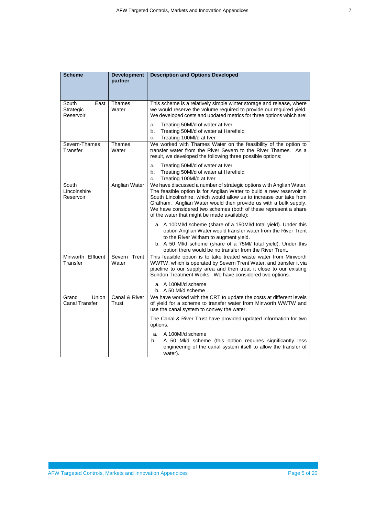| I<br>×<br>I |  |
|-------------|--|
| I<br>i      |  |
|             |  |
|             |  |

| <b>Scheme</b>                                  | <b>Development</b><br>partner | <b>Description and Options Developed</b>                                                                                                                                                                                                                                                                                                                                                                |
|------------------------------------------------|-------------------------------|---------------------------------------------------------------------------------------------------------------------------------------------------------------------------------------------------------------------------------------------------------------------------------------------------------------------------------------------------------------------------------------------------------|
| South<br>East<br><b>Strategic</b><br>Reservoir | <b>Thames</b><br>Water        | This scheme is a relatively simple winter storage and release, where<br>we would reserve the volume required to provide our required yield.<br>We developed costs and updated metrics for three options which are:                                                                                                                                                                                      |
|                                                |                               | Treating 50Ml/d of water at Iver<br>a.<br>Treating 50MI/d of water at Harefield<br>b.<br>Treating 100Ml/d at Iver<br>c.                                                                                                                                                                                                                                                                                 |
| Severn-Thames<br>Transfer                      | Thames<br>Water               | We worked with Thames Water on the feasibility of the option to<br>transfer water from the River Severn to the River Thames. As a<br>result, we developed the following three possible options:                                                                                                                                                                                                         |
|                                                |                               | Treating 50MI/d of water at Iver<br>a.<br>Treating 50MI/d of water at Harefield<br>b.<br>Treating 100Ml/d at Iver<br>$C_{+}$                                                                                                                                                                                                                                                                            |
| South<br>Lincolnshire<br>Reservoir             | Anglian Water                 | We have discussed a number of strategic options with Anglian Water.<br>The feasible option is for Anglian Water to build a new reservoir in<br>South Lincolnshire, which would allow us to increase our take from<br>Grafham. Anglian Water would then provide us with a bulk supply.<br>We have considered two schemes (both of these represent a share<br>of the water that might be made available): |
|                                                |                               | a. A 100MI/d scheme (share of a 150MI/d total yield). Under this<br>option Anglian Water would transfer water from the River Trent<br>to the River Witham to augment yield.<br>b. A 50 MI/d scheme (share of a 75MI/ total yield). Under this<br>option there would be no transfer from the River Trent.                                                                                                |
| Minworth Effluent<br>Transfer                  | Severn Trent<br>Water         | This feasible option is to take treated waste water from Minworth<br>WWTW, which is operated by Severn Trent Water, and transfer it via<br>pipeline to our supply area and then treat it close to our existing<br>Sundon Treatment Works. We have considered two options.<br>a. A 100MI/d scheme                                                                                                        |
|                                                |                               | b. A 50 MI/d scheme                                                                                                                                                                                                                                                                                                                                                                                     |
| Grand<br>Union<br><b>Canal Transfer</b>        | Canal & River<br>Trust        | We have worked with the CRT to update the costs at different levels<br>of yield for a scheme to transfer water from Minworth WWTW and<br>use the canal system to convey the water.                                                                                                                                                                                                                      |
|                                                |                               | The Canal & River Trust have provided updated information for two<br>options.                                                                                                                                                                                                                                                                                                                           |
|                                                |                               | A 100MI/d scheme<br>a.<br>A 50 MI/d scheme (this option requires significantly less<br>b.<br>engineering of the canal system itself to allow the transfer of<br>water).                                                                                                                                                                                                                                 |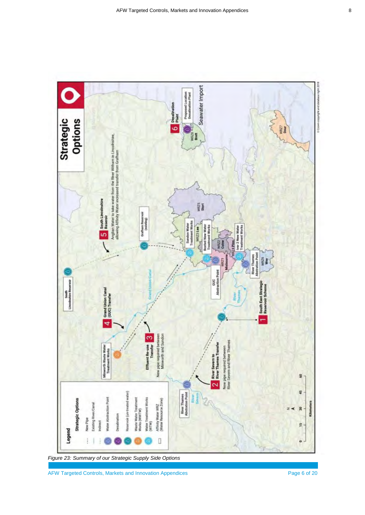<span id="page-7-0"></span>

*Figure 23: Summary of our Strategic Supply Side Options*

AFW Targeted Controls, Markets and Innovation Appendices Page 6 of 20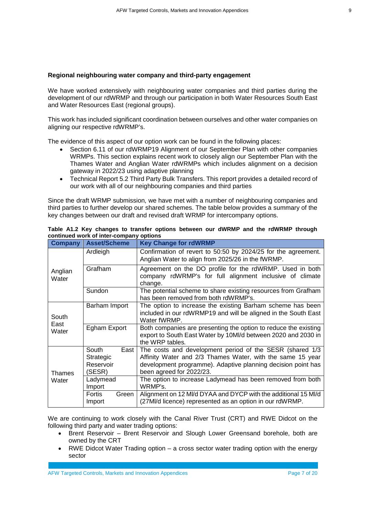#### **Regional neighbouring water company and third-party engagement**

We have worked extensively with neighbouring water companies and third parties during the development of our rdWRMP and through our participation in both Water Resources South East and Water Resources East (regional groups).

This work has included significant coordination between ourselves and other water companies on aligning our respective rdWRMP's.

The evidence of this aspect of our option work can be found in the following places:

- ∑ Section 6.11 of our rdWRMP19 Alignment of our September Plan with other companies WRMPs. This section explains recent work to closely align our September Plan with the Thames Water and Anglian Water rdWRMPs which includes alignment on a decision gateway in 2022/23 using adaptive planning
- ∑ Technical Report 5.2 Third Party Bulk Transfers. This report provides a detailed record of our work with all of our neighbouring companies and third parties

Since the draft WRMP submission, we have met with a number of neighbouring companies and third parties to further develop our shared schemes. The table below provides a summary of the key changes between our draft and revised draft WRMP for intercompany options.

| Company                | <b>Asset/Scheme</b>                               | <b>Key Change for rdWRMP</b>                                                                                                                                                                                       |  |
|------------------------|---------------------------------------------------|--------------------------------------------------------------------------------------------------------------------------------------------------------------------------------------------------------------------|--|
|                        | Ardleigh                                          | Confirmation of revert to 50:50 by 2024/25 for the agreement.<br>Anglian Water to align from 2025/26 in the fWRMP.                                                                                                 |  |
| Anglian<br>Water       | Grafham                                           | Agreement on the DO profile for the rdWRMP. Used in both<br>company rdWRMP's for full alignment inclusive of climate<br>change.                                                                                    |  |
|                        | Sundon                                            | The potential scheme to share existing resources from Grafham<br>has been removed from both rdWRMP's.                                                                                                              |  |
| South<br>East          | Barham Import                                     | The option to increase the existing Barham scheme has been<br>included in our rdWRMP19 and will be aligned in the South East<br>Water fWRMP.                                                                       |  |
| Water                  | Egham Export                                      | Both companies are presenting the option to reduce the existing<br>export to South East Water by 10MI/d between 2020 and 2030 in<br>the WRP tables.                                                                |  |
| <b>Thames</b><br>Water | South<br>East<br>Strategic<br>Reservoir<br>(SESR) | The costs and development period of the SESR (shared 1/3<br>Affinity Water and 2/3 Thames Water, with the same 15 year<br>development programme). Adaptive planning decision point has<br>been agreed for 2022/23. |  |
|                        | Ladymead<br>Import                                | The option to increase Ladymead has been removed from both<br>WRMP's.                                                                                                                                              |  |
|                        | Fortis<br>Green<br>Import                         | Alignment on 12 MI/d DYAA and DYCP with the additional 15 MI/d<br>(27MI/d licence) represented as an option in our rdWRMP.                                                                                         |  |

|  |                                         |  | Table A1.2 Key changes to transfer options between our dWRMP and the rdWRMP through |  |  |  |
|--|-----------------------------------------|--|-------------------------------------------------------------------------------------|--|--|--|
|  | continued work of inter-company options |  |                                                                                     |  |  |  |

We are continuing to work closely with the Canal River Trust (CRT) and RWE Didcot on the following third party and water trading options:

- ∑ Brent Reservoir Brent Reservoir and Slough Lower Greensand borehole, both are owned by the CRT
- RWE Didcot Water Trading option a cross sector water trading option with the energy sector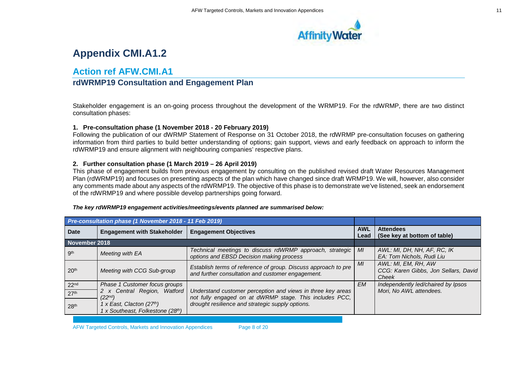

# **Appendix CMI.A1.2**

### **Action ref AFW.CMI.A1**

### **rdWRMP19 Consultation and Engagement Plan**

Stakeholder engagement is an on-going process throughout the development of the WRMP19. For the rdWRMP, there are two distinct consultation phases:

#### **1. Pre-consultation phase (1 November 2018 - 20 February 2019)**

Following the publication of our dWRMP Statement of Response on 31 October 2018, the rdWRMP pre-consultation focuses on gathering information from third parties to build better understanding of options; gain support, views and early feedback on approach to inform the rdWRMP19 and ensure alignment with neighbouring companies' respective plans.

#### **2. Further consultation phase (1 March 2019 – 26 April 2019)**

This phase of engagement builds from previous engagement by consulting on the published revised draft Water Resources Management Plan (rdWRMP19) and focuses on presenting aspects of the plan which have changed since draft WRMP19. We will, however, also consider any comments made about any aspects of the rdWRMP19. The objective of this phase is to demonstrate we've listened, seek an endorsement of the rdWRMP19 and where possible develop partnerships going forward.

|                  | Pre-consultation phase (1 November 2018 - 11 Feb 2019)       |                                                                                                                        |           |                                                                      |
|------------------|--------------------------------------------------------------|------------------------------------------------------------------------------------------------------------------------|-----------|----------------------------------------------------------------------|
| Date             | <b>Engagement with Stakeholder</b>                           | <b>Engagement Objectives</b><br>Lead                                                                                   |           | <b>Attendees</b><br>(See key at bottom of table)                     |
| November 2018    |                                                              |                                                                                                                        |           |                                                                      |
| gth              | Meeting with EA                                              | Technical meetings to discuss rdWRMP approach, strategic<br>options and EBSD Decision making process                   | MI        | AWL: MI, DH, NH, AF, RC, IK<br>EA: Tom Nichols, Rudi Liu             |
| 20 <sup>th</sup> | Meeting with CCG Sub-group                                   | Establish terms of reference of group. Discuss approach to pre<br>and further consultation and customer engagement.    | MI        | AWL: MI, EM, RH, AW<br>CCG: Karen Gibbs, Jon Sellars, David<br>Cheek |
| 22 <sub>nd</sub> | Phase 1 Customer focus groups                                |                                                                                                                        | <b>EM</b> | Independently led/chaired by Ipsos                                   |
| 27 <sup>th</sup> | 2 x Central Region, Watford<br>$(22^{nd})$                   | Understand customer perception and views in three key areas<br>not fully engaged on at dWRMP stage. This includes PCC, |           | Mori, No AWL attendees.                                              |
| 28 <sup>th</sup> | 1 x East, Clacton (27th)<br>1 x Southeast, Folkestone (28th) | drought resilience and strategic supply options.                                                                       |           |                                                                      |

#### *The key rdWRMP19 engagement activities/meetings/events planned are summarised below:*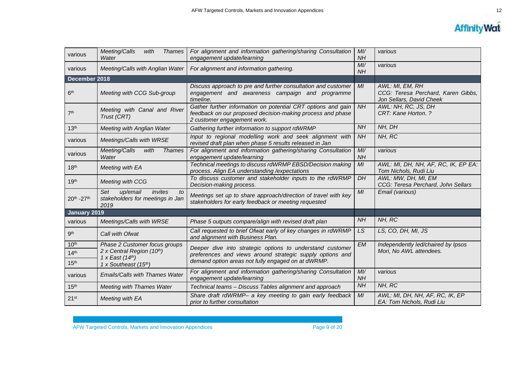

| various          | Meeting/Calls<br><b>Thames</b><br>with<br>Water                              | For alignment and information gathering/sharing Consultation<br>engagement update/learning                                                                | Ml/<br><b>NH</b> | various                                                                           |
|------------------|------------------------------------------------------------------------------|-----------------------------------------------------------------------------------------------------------------------------------------------------------|------------------|-----------------------------------------------------------------------------------|
| various          | Meeting/Calls with Anglian Water                                             | Ml/<br><b>NH</b>                                                                                                                                          | various          |                                                                                   |
| December 2018    |                                                                              |                                                                                                                                                           |                  |                                                                                   |
| 6 <sup>th</sup>  | Meeting with CCG Sub-group                                                   | Discuss approach to pre and further consultation and customer<br>engagement and awareness campaign and programme<br>timeline.                             | MI               | AWL: MI, EM, RH<br>CCG: Teresa Perchard, Karen Gibbs,<br>Jon Sellars, David Cheek |
| 7 <sup>th</sup>  | Meeting with Canal and River<br>Trust (CRT)                                  | Gather further information on potential CRT options and gain<br>feedback on our proposed decision-making process and phase<br>2 customer engagement work. | NH               | AWL: NH, RC, JS, DH<br>CRT: Kane Horton. ?                                        |
| 13 <sup>th</sup> | Meeting with Anglian Water                                                   | Gathering further information to support rdWRMP                                                                                                           | NH               | NH, DH                                                                            |
| various          | Meetings/Calls with WRSE                                                     | Input to regional modelling work and seek alignment with<br>revised draft plan when phase 5 results released in Jan                                       | <b>NH</b>        | NH, RC                                                                            |
| various          | Meeting/Calls<br>with<br><b>Thames</b><br>Water                              | For alignment and information gathering/sharing Consultation<br>engagement update/learning                                                                | Ml/<br>NH        | various                                                                           |
| 18 <sup>th</sup> | Meeting with EA                                                              | Technical meetings to discuss rdWRMP EBSD/Decision making<br>process. Align EA understanding / expectations                                               | MI               | AWL: MI, DH, NH, AF, RC, IK, EP EA:<br>Tom Nichols, Rudi Liu                      |
| 19 <sup>th</sup> | Meeting with CCG                                                             | To discuss customer and stakeholder inputs to the rdWRMP<br>Decision-making process.                                                                      | DH               | AWL: MW, DH, MI, EM<br>CCG: Teresa Perchard, John Sellars                         |
| 20th - 27th      | up/email<br>invites<br>Set<br>to<br>stakeholders for meetings in Jan<br>2019 | Meetings set up to share approach/direction of travel with key<br>stakeholders for early feedback or meeting requested                                    |                  | Email (various)                                                                   |
| January 2019     |                                                                              |                                                                                                                                                           |                  |                                                                                   |
| various          | Meetings/Calls with WRSE                                                     | Phase 5 outputs compare/align with revised draft plan                                                                                                     | <b>NH</b>        | NH, RC                                                                            |
| 9 <sup>th</sup>  | Call with Ofwat                                                              | Call requested to brief Ofwat early of key changes in rdWRMP<br>and alignment with Business Plan.                                                         | LS               | LS, CO, DH, MI, JS                                                                |
| 10 <sup>th</sup> | Phase 2 Customer focus groups<br>2 x Central Region (10th)                   | Deeper dive into strategic options to understand customer                                                                                                 | <b>EM</b>        | Independently led/chaired by Ipsos<br>Mori, No AWL attendees.                     |
| 14 <sup>th</sup> | 1 x East $(14th)$                                                            | preferences and views around strategic supply options and<br>demand option areas not fully engaged on at dWRMP.                                           |                  |                                                                                   |
| 15 <sup>th</sup> | 1 x Southeast (15th)                                                         |                                                                                                                                                           |                  |                                                                                   |
| various          | Emails/Calls with Thames Water                                               | For alignment and information gathering/sharing Consultation<br>engagement update/learning                                                                | M/L<br><b>NH</b> | various                                                                           |
| 15 <sup>th</sup> | <b>Meeting with Thames Water</b>                                             | Technical teams - Discuss Tables alignment and approach                                                                                                   | NH               | NH, RC                                                                            |
| 21 <sup>st</sup> | Meeting with EA                                                              | Share draft rdWRMP- a key meeting to gain early feedback<br>prior to further consultation                                                                 | MI               | AWL: MI, DH, NH, AF, RC, IK, EP<br>EA: Tom Nichols, Rudi Liu                      |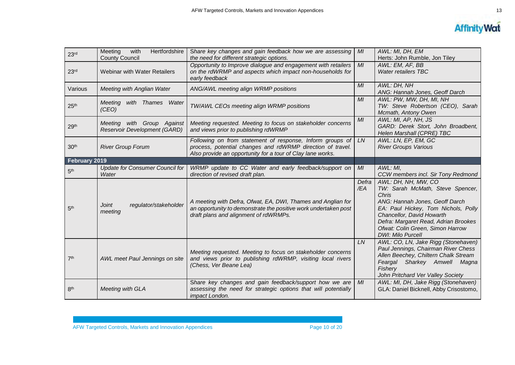| 23 <sup>rd</sup> | Hertfordshire<br>Meeting<br>with<br><b>County Council</b>            | Share key changes and gain feedback how we are assessing<br>the need for different strategic options.                                                                                 | MI           | AWL: MI, DH, EM<br>Herts: John Rumble, Jon Tiley                                                                                                                                                                                                                               |
|------------------|----------------------------------------------------------------------|---------------------------------------------------------------------------------------------------------------------------------------------------------------------------------------|--------------|--------------------------------------------------------------------------------------------------------------------------------------------------------------------------------------------------------------------------------------------------------------------------------|
| 23 <sup>rd</sup> | Webinar with Water Retailers                                         | Opportunity to Improve dialogue and engagement with retailers<br>on the rdWRMP and aspects which impact non-households for<br>early feedback                                          | MI           | AWL: EM, AF, BB<br><b>Water retailers TBC</b>                                                                                                                                                                                                                                  |
| Various          | Meeting with Anglian Water                                           | ANG/AWL meeting align WRMP positions                                                                                                                                                  | MI           | AWL: DH, NH<br>ANG: Hannah Jones, Geoff Darch                                                                                                                                                                                                                                  |
| 25 <sup>th</sup> | Meeting<br>with<br>Thames<br>Water<br>(CEO)                          | TW/AWL CEOs meeting align WRMP positions                                                                                                                                              | MI           | AWL: PW, MW, DH, MI, NH<br>TW: Steve Robertson (CEO), Sarah<br>Mcmath, Antony Owen                                                                                                                                                                                             |
| 29 <sup>th</sup> | with Group Against<br>Meeting<br><b>Reservoir Development (GARD)</b> | Meeting requested. Meeting to focus on stakeholder concerns<br>and views prior to publishing rdWRMP                                                                                   | MI           | AWL: MI, AP, NH, JS<br>GARD: Derek Stort, John Broadbent,<br>Helen Marshall (CPRE) TBC                                                                                                                                                                                         |
| 30 <sup>th</sup> | <b>River Group Forum</b>                                             | Following on from statement of response, Inform groups of<br>process, potential changes and rdWRMP direction of travel.<br>Also provide an opportunity for a tour of Clay lane works. | LN           | AWL: LN, EP, EM, GC<br><b>River Groups Various</b>                                                                                                                                                                                                                             |
| February 2019    |                                                                      |                                                                                                                                                                                       |              |                                                                                                                                                                                                                                                                                |
| 5 <sup>th</sup>  | <b>Update for Consumer Council for</b><br>Water                      | WRMP update to CC Water and early feedback/support on<br>direction of revised draft plan.                                                                                             | MI           | AWL: MI,<br>CCW members incl. Sir Tony Redmond                                                                                                                                                                                                                                 |
| 5 <sup>th</sup>  | <b>Joint</b><br>regulator/stakeholder<br>meeting                     | A meeting with Defra, Ofwat, EA, DWI, Thames and Anglian for<br>an opportunity to demonstrate the positive work undertaken post<br>draft plans and alignment of rdWRMPs.              | Defra<br>/EA | AWL: DH, NH, MW, CO<br>TW: Sarah McMath, Steve Spencer,<br>Chris<br>ANG: Hannah Jones, Geoff Darch<br>EA: Paul Hickey, Tom Nichols, Polly<br>Chancellor, David Howarth<br>Defra: Margaret Read, Adrian Brookes<br>Ofwat: Colin Green, Simon Harrow<br><b>DWI: Milo Purcell</b> |
| 7 <sup>th</sup>  | AWL meet Paul Jennings on site                                       | Meeting requested. Meeting to focus on stakeholder concerns<br>and views prior to publishing rdWRMP, visiting local rivers<br>(Chess, Ver Beane Lea)                                  | LN.          | AWL: CO, LN, Jake Rigg (Stonehaven)<br>Paul Jennings, Chairman River Chess<br>Allen Beechey, Chiltern Chalk Stream<br>Feargal Sharkey Amwell Magna<br>Fishery<br>John Pritchard Ver Valley Society                                                                             |
| 8 <sup>th</sup>  | <b>Meeting with GLA</b>                                              | Share key changes and gain feedback/support how we are<br>assessing the need for strategic options that will potentially<br>impact London.                                            | MI           | AWL: MI, DH, Jake Rigg (Stonehaven)<br>GLA: Daniel Bicknell, Abby Crisostomo,                                                                                                                                                                                                  |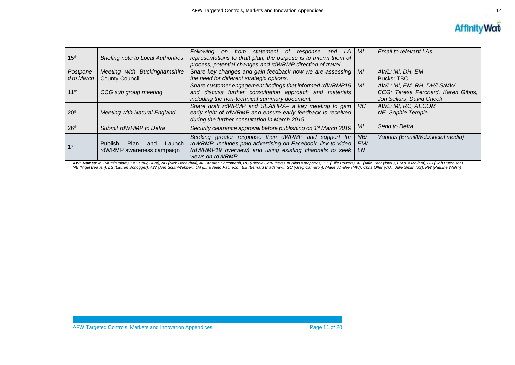

| 15 <sup>th</sup> | <b>Briefing note to Local Authorities</b>                       | Following on from statement of response<br>and<br>LA I<br>representations to draft plan, the purpose is to Inform them of<br>process, potential changes and rdWRMP direction of travel             | MI               | Email to relevant LAs                                          |
|------------------|-----------------------------------------------------------------|----------------------------------------------------------------------------------------------------------------------------------------------------------------------------------------------------|------------------|----------------------------------------------------------------|
| Postpone         | Meeting with Buckinghamshire                                    | Share key changes and gain feedback how we are assessing                                                                                                                                           | MI               | AWL: MI, DH, EM                                                |
| d to March       | <b>County Council</b>                                           | the need for different strategic options.                                                                                                                                                          |                  | Bucks: TBC                                                     |
|                  |                                                                 | Share customer engagement findings that informed rdWRMP19                                                                                                                                          | MI               | AWL: MI, EM, RH, DH/LS/MW                                      |
| 11 <sup>th</sup> | CCG sub group meeting                                           | and discuss further consultation approach and materials<br>including the non-technical summary document.                                                                                           |                  | CCG: Teresa Perchard, Karen Gibbs,<br>Jon Sellars, David Cheek |
| 20 <sup>th</sup> | <b>Meeting with Natural England</b>                             | Share draft rdWRMP and SEA/HRA- a key meeting to gain<br>early sight of rdWRMP and ensure early feedback is received<br>during the further consultation in March 2019                              | RC               | AWL: MI, RC, AECOM<br><b>NE: Sophie Temple</b>                 |
| 26 <sup>th</sup> | Submit rdWRMP to Defra                                          | Security clearance approval before publishing on 1 <sup>st</sup> March 2019                                                                                                                        | ΜI               | Send to Defra                                                  |
| 1st              | Launch I<br>Publish<br>Plan<br>and<br>rdWRMP awareness campaign | Seeking greater response then dWRMP and support for<br>rdWRMP. Includes paid advertising on Facebook, link to video<br>(rdWRMP19 overview) and using existing channels to seek<br>views on rdWRMP. | NB/<br>EM/<br>LN | Various (Email/Web/social media)                               |

**AWL Names**: MI (Mumin Islam), DH (Doug Hunt), NH (Nick Honeyball), AF (Andrea Farcomeni), RC (Ritchie Carruthers), IK (Ilias Karapanos), EP (Ellie Powers), AP (Affie Panayiotou), EM (Ed Mallam), RH (Rob Hutchison),<br>NB (Ni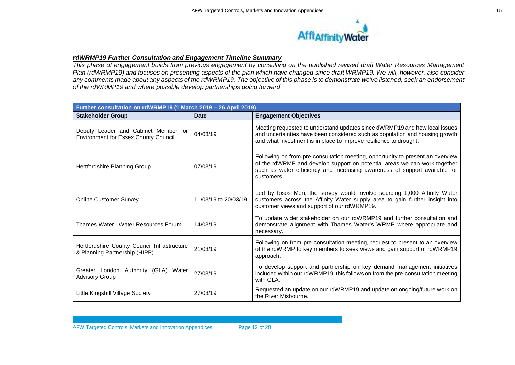

#### *rdWRMP19 Further Consultation and Engagement Timeline Summary*

*This phase of engagement builds from previous engagement by consulting on the published revised draft Water Resources Management Plan (rdWRMP19) and focuses on presenting aspects of the plan which have changed since draft WRMP19. We will, however, also consider any comments made about any aspects of the rdWRMP19. The objective of this phase is to demonstrate we've listened, seek an endorsement of the rdWRMP19 and where possible develop partnerships going forward.*

| Further consultation on rdWRMP19 (1 March 2019 - 26 April 2019)                     |                      |                                                                                                                                                                                                                                                         |  |  |  |  |
|-------------------------------------------------------------------------------------|----------------------|---------------------------------------------------------------------------------------------------------------------------------------------------------------------------------------------------------------------------------------------------------|--|--|--|--|
| <b>Stakeholder Group</b>                                                            | <b>Date</b>          | <b>Engagement Objectives</b>                                                                                                                                                                                                                            |  |  |  |  |
| Deputy Leader and Cabinet Member for<br><b>Environment for Essex County Council</b> | 04/03/19             | Meeting requested to understand updates since dWRMP19 and how local issues<br>and uncertainties have been considered such as population and housing growth<br>and what investment is in place to improve resilience to drought.                         |  |  |  |  |
| Hertfordshire Planning Group                                                        | 07/03/19             | Following on from pre-consultation meeting, opportunity to present an overview<br>of the rdWRMP and develop support on potential areas we can work together<br>such as water efficiency and increasing awareness of support available for<br>customers. |  |  |  |  |
| <b>Online Customer Survey</b>                                                       | 11/03/19 to 20/03/19 | Led by Ipsos Mori, the survey would involve sourcing 1,000 Affinity Water<br>customers across the Affinity Water supply area to gain further insight into<br>customer views and support of our rdWRMP19.                                                |  |  |  |  |
| Thames Water - Water Resources Forum                                                | 14/03/19             | To update wider stakeholder on our rdWRMP19 and further consultation and<br>demonstrate alignment with Thames Water's WRMP where appropriate and<br>necessary.                                                                                          |  |  |  |  |
| Hertfordshire County Council Infrastructure<br>& Planning Partnership (HIPP)        | 21/03/19             | Following on from pre-consultation meeting, request to present to an overview<br>of the rdWRMP to key members to seek views and gain support of rdWRMP19<br>approach.                                                                                   |  |  |  |  |
| Greater London Authority (GLA) Water<br><b>Advisory Group</b>                       | 27/03/19             | To develop support and partnership on key demand management initiatives<br>included within our rdWRMP19, this follows on from the pre-consultation meeting<br>with GLA.                                                                                 |  |  |  |  |
| Little Kingshill Village Society                                                    | 27/03/19             | Requested an update on our rdWRMP19 and update on ongoing/future work on<br>the River Misbourne.                                                                                                                                                        |  |  |  |  |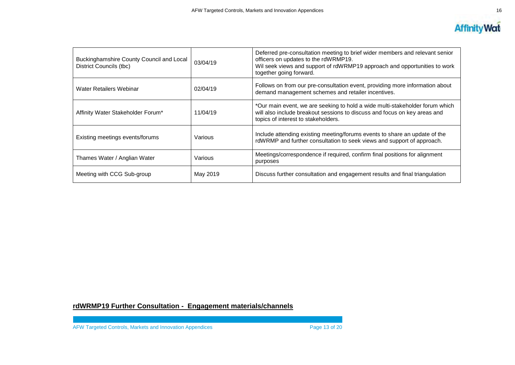

| Buckinghamshire County Council and Local<br>District Councils (tbc) | 03/04/19 | Deferred pre-consultation meeting to brief wider members and relevant senior<br>officers on updates to the rdWRMP19.<br>Wil seek views and support of rdWRMP19 approach and opportunities to work<br>together going forward. |
|---------------------------------------------------------------------|----------|------------------------------------------------------------------------------------------------------------------------------------------------------------------------------------------------------------------------------|
| Water Retailers Webinar                                             | 02/04/19 | Follows on from our pre-consultation event, providing more information about<br>demand management schemes and retailer incentives.                                                                                           |
| Affinity Water Stakeholder Forum*                                   | 11/04/19 | *Our main event, we are seeking to hold a wide multi-stakeholder forum which<br>will also include breakout sessions to discuss and focus on key areas and<br>topics of interest to stakeholders.                             |
| Existing meetings events/forums                                     | Various  | Include attending existing meeting/forums events to share an update of the<br>rdWRMP and further consultation to seek views and support of approach.                                                                         |
| Thames Water / Anglian Water                                        | Various  | Meetings/correspondence if required, confirm final positions for alignment<br>purposes                                                                                                                                       |
| Meeting with CCG Sub-group                                          | May 2019 | Discuss further consultation and engagement results and final triangulation                                                                                                                                                  |

### **rdWRMP19 Further Consultation - Engagement materials/channels**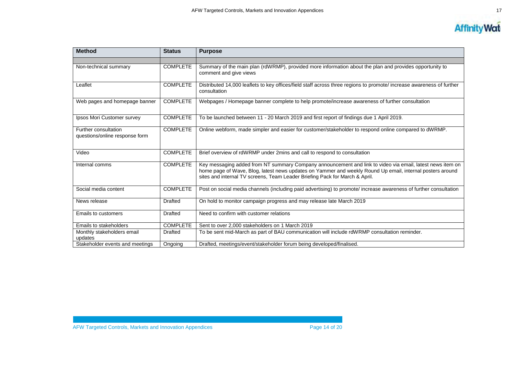

| <b>Method</b>                                          | <b>Status</b>   | <b>Purpose</b>                                                                                                                                                                                                                                                                                        |  |
|--------------------------------------------------------|-----------------|-------------------------------------------------------------------------------------------------------------------------------------------------------------------------------------------------------------------------------------------------------------------------------------------------------|--|
|                                                        |                 |                                                                                                                                                                                                                                                                                                       |  |
| Non-technical summary                                  | <b>COMPLETE</b> | Summary of the main plan (rdWRMP), provided more information about the plan and provides opportunity to<br>comment and give views                                                                                                                                                                     |  |
| Leaflet                                                | <b>COMPLETE</b> | Distributed 14,000 leaflets to key offices/field staff across three regions to promote/ increase awareness of further<br>consultation                                                                                                                                                                 |  |
| Web pages and homepage banner                          | <b>COMPLETE</b> | Webpages / Homepage banner complete to help promote/increase awareness of further consultation                                                                                                                                                                                                        |  |
| Ipsos Mori Customer survey                             | <b>COMPLETE</b> | To be launched between 11 - 20 March 2019 and first report of findings due 1 April 2019.                                                                                                                                                                                                              |  |
| Further consultation<br>questions/online response form | <b>COMPLETE</b> | Online webform, made simpler and easier for customer/stakeholder to respond online compared to dWRMP.                                                                                                                                                                                                 |  |
| Video                                                  | <b>COMPLETE</b> | Brief overview of rdWRMP under 2mins and call to respond to consultation                                                                                                                                                                                                                              |  |
| Internal comms                                         | <b>COMPLETE</b> | Key messaging added from NT summary Company announcement and link to video via email, latest news item on<br>home page of Wave, Blog, latest news updates on Yammer and weekly Round Up email, internal posters around<br>sites and internal TV screens, Team Leader Briefing Pack for March & April. |  |
| Social media content                                   | <b>COMPLETE</b> | Post on social media channels (including paid advertising) to promote/increase awareness of further consultation                                                                                                                                                                                      |  |
| News release                                           | Drafted         | On hold to monitor campaign progress and may release late March 2019                                                                                                                                                                                                                                  |  |
| <b>Emails to customers</b>                             | <b>Drafted</b>  | Need to confirm with customer relations                                                                                                                                                                                                                                                               |  |
| Emails to stakeholders                                 | <b>COMPLETE</b> | Sent to over 2,000 stakeholders on 1 March 2019                                                                                                                                                                                                                                                       |  |
| Monthly stakeholders email<br>updates                  | Drafted         | To be sent mid-March as part of BAU communication will include rdWRMP consultation reminder.                                                                                                                                                                                                          |  |
| Stakeholder events and meetings                        | Ongoing         | Drafted, meetings/event/stakeholder forum being developed/finalised.                                                                                                                                                                                                                                  |  |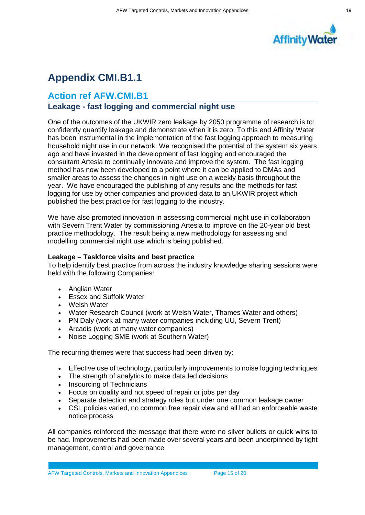

# **Appendix CMI.B1.1**

### **Action ref AFW.CMI.B1**

# **Leakage - fast logging and commercial night use**

One of the outcomes of the UKWIR zero leakage by 2050 programme of research is to: confidently quantify leakage and demonstrate when it is zero. To this end Affinity Water has been instrumental in the implementation of the fast logging approach to measuring household night use in our network. We recognised the potential of the system six years ago and have invested in the development of fast logging and encouraged the consultant Artesia to continually innovate and improve the system. The fast logging method has now been developed to a point where it can be applied to DMAs and smaller areas to assess the changes in night use on a weekly basis throughout the year. We have encouraged the publishing of any results and the methods for fast logging for use by other companies and provided data to an UKWIR project which published the best practice for fast logging to the industry.

We have also promoted innovation in assessing commercial night use in collaboration with Severn Trent Water by commissioning Artesia to improve on the 20-year old best practice methodology. The result being a new methodology for assessing and modelling commercial night use which is being published.

#### **Leakage – Taskforce visits and best practice**

To help identify best practice from across the industry knowledge sharing sessions were held with the following Companies:

- Anglian Water
- Essex and Suffolk Water
- Welsh Water
- Water Research Council (work at Welsh Water, Thames Water and others)
- PN Daly (work at many water companies including UU, Severn Trent)
- Arcadis (work at many water companies)
- ∑ Noise Logging SME (work at Southern Water)

The recurring themes were that success had been driven by:

- Effective use of technology, particularly improvements to noise logging techniques
- The strength of analytics to make data led decisions
- Insourcing of Technicians
- Focus on quality and not speed of repair or jobs per day
- Separate detection and strategy roles but under one common leakage owner
- CSL policies varied, no common free repair view and all had an enforceable waste notice process

All companies reinforced the message that there were no silver bullets or quick wins to be had. Improvements had been made over several years and been underpinned by tight management, control and governance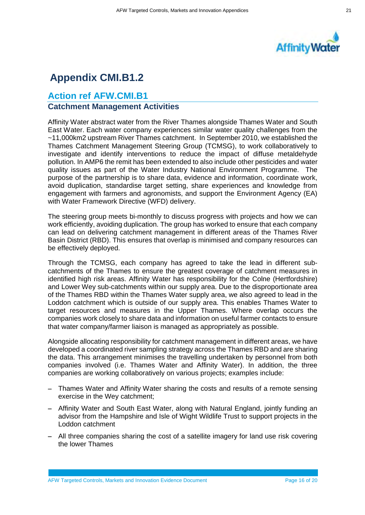

# **Appendix CMI.B1.2**

### **Action ref AFW.CMI.B1 Catchment Management Activities**

Affinity Water abstract water from the River Thames alongside Thames Water and South East Water. Each water company experiences similar water quality challenges from the ~11,000km2 upstream River Thames catchment. In September 2010, we established the Thames Catchment Management Steering Group (TCMSG), to work collaboratively to investigate and identify interventions to reduce the impact of diffuse metaldehyde pollution. In AMP6 the remit has been extended to also include other pesticides and water quality issues as part of the Water Industry National Environment Programme. The purpose of the partnership is to share data, evidence and information, coordinate work, avoid duplication, standardise target setting, share experiences and knowledge from engagement with farmers and agronomists, and support the Environment Agency (EA) with Water Framework Directive (WFD) delivery.

The steering group meets bi-monthly to discuss progress with projects and how we can work efficiently, avoiding duplication. The group has worked to ensure that each company can lead on delivering catchment management in different areas of the Thames River Basin District (RBD). This ensures that overlap is minimised and company resources can be effectively deployed.

Through the TCMSG, each company has agreed to take the lead in different subcatchments of the Thames to ensure the greatest coverage of catchment measures in identified high risk areas. Affinity Water has responsibility for the Colne (Hertfordshire) and Lower Wey sub-catchments within our supply area. Due to the disproportionate area of the Thames RBD within the Thames Water supply area, we also agreed to lead in the Loddon catchment which is outside of our supply area. This enables Thames Water to target resources and measures in the Upper Thames. Where overlap occurs the companies work closely to share data and information on useful farmer contacts to ensure that water company/farmer liaison is managed as appropriately as possible.

Alongside allocating responsibility for catchment management in different areas, we have developed a coordinated river sampling strategy across the Thames RBD and are sharing the data. This arrangement minimises the travelling undertaken by personnel from both companies involved (i.e. Thames Water and Affinity Water). In addition, the three companies are working collaboratively on various projects; examples include:

- Thames Water and Affinity Water sharing the costs and results of a remote sensing exercise in the Wey catchment;
- Affinity Water and South East Water, along with Natural England, jointly funding an advisor from the Hampshire and Isle of Wight Wildlife Trust to support projects in the Loddon catchment
- All three companies sharing the cost of a satellite imagery for land use risk covering the lower Thames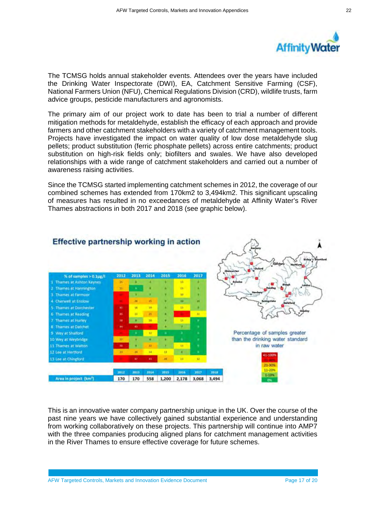

The TCMSG holds annual stakeholder events. Attendees over the years have included the Drinking Water Inspectorate (DWI), EA, Catchment Sensitive Farming (CSF), National Farmers Union (NFU), Chemical Regulations Division (CRD), wildlife trusts, farm advice groups, pesticide manufacturers and agronomists.

The primary aim of our project work to date has been to trial a number of different mitigation methods for metaldehyde, establish the efficacy of each approach and provide farmers and other catchment stakeholders with a variety of catchment management tools. Projects have investigated the impact on water quality of low dose metaldehyde slug pellets; product substitution (ferric phosphate pellets) across entire catchments; product substitution on high-risk fields only; biofilters and swales. We have also developed relationships with a wide range of catchment stakeholders and carried out a number of awareness raising activities.

Since the TCMSG started implementing catchment schemes in 2012, the coverage of our combined schemes has extended from 170km2 to 3,494km2. This significant upscaling of measures has resulted in no exceedances of metaldehyde at Affinity Water's River Thames abstractions in both 2017 and 2018 (see graphic below).



This is an innovative water company partnership unique in the UK. Over the course of the past nine years we have collectively gained substantial experience and understanding from working collaboratively on these projects. This partnership will continue into AMP7 with the three companies producing aligned plans for catchment management activities in the River Thames to ensure effective coverage for future schemes.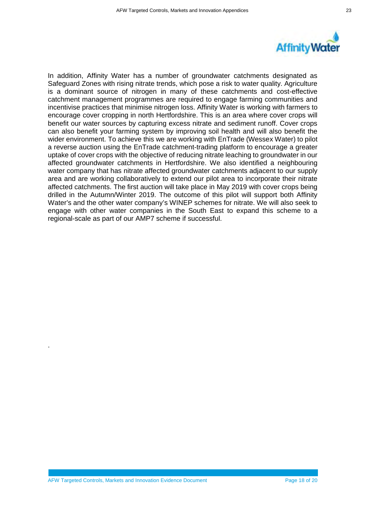



In addition, Affinity Water has a number of groundwater catchments designated as Safeguard Zones with rising nitrate trends, which pose a risk to water quality. Agriculture is a dominant source of nitrogen in many of these catchments and cost-effective catchment management programmes are required to engage farming communities and incentivise practices that minimise nitrogen loss. Affinity Water is working with farmers to encourage cover cropping in north Hertfordshire. This is an area where cover crops will benefit our water sources by capturing excess nitrate and sediment runoff. Cover crops can also benefit your farming system by improving soil health and will also benefit the wider environment. To achieve this we are working with EnTrade (Wessex Water) to pilot a reverse auction using the EnTrade catchment-trading platform to encourage a greater uptake of cover crops with the objective of reducing nitrate leaching to groundwater in our affected groundwater catchments in Hertfordshire. We also identified a neighbouring water company that has nitrate affected groundwater catchments adjacent to our supply area and are working collaboratively to extend our pilot area to incorporate their nitrate affected catchments. The first auction will take place in May 2019 with cover crops being drilled in the Autumn/Winter 2019. The outcome of this pilot will support both Affinity Water's and the other water company's WINEP schemes for nitrate. We will also seek to engage with other water companies in the South East to expand this scheme to a regional-scale as part of our AMP7 scheme if successful.

.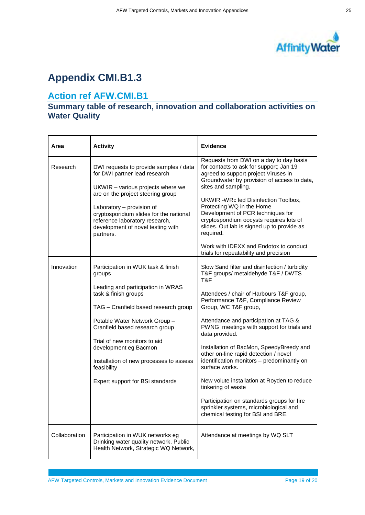

# **Appendix CMI.B1.3**

## **Action ref AFW.CMI.B1**

### **Summary table of research, innovation and collaboration activities on Water Quality**

| Area          | <b>Activity</b>                                                                                                                                                                                                                                                                                                                                                             | <b>Evidence</b>                                                                                                                                                                                                                                                                                                                                                                                                                                                                                                                                                                                                                                                                                               |
|---------------|-----------------------------------------------------------------------------------------------------------------------------------------------------------------------------------------------------------------------------------------------------------------------------------------------------------------------------------------------------------------------------|---------------------------------------------------------------------------------------------------------------------------------------------------------------------------------------------------------------------------------------------------------------------------------------------------------------------------------------------------------------------------------------------------------------------------------------------------------------------------------------------------------------------------------------------------------------------------------------------------------------------------------------------------------------------------------------------------------------|
| Research      | DWI requests to provide samples / data<br>for DWI partner lead research<br>UKWIR - various projects where we<br>are on the project steering group<br>Laboratory - provision of<br>cryptosporidium slides for the national<br>reference laboratory research,<br>development of novel testing with<br>partners.                                                               | Requests from DWI on a day to day basis<br>for contacts to ask for support; Jan 19<br>agreed to support project Viruses in<br>Groundwater by provision of access to data,<br>sites and sampling.<br>UKWIR - WRc led Disinfection Toolbox,<br>Protecting WQ in the Home<br>Development of PCR techniques for<br>cryptosporidium oocysts requires lots of<br>slides. Out lab is signed up to provide as<br>required.<br>Work with IDEXX and Endotox to conduct                                                                                                                                                                                                                                                  |
| Innovation    | Participation in WUK task & finish<br>groups<br>Leading and participation in WRAS<br>task & finish groups<br>TAG - Cranfield based research group<br>Potable Water Network Group -<br>Cranfield based research group<br>Trial of new monitors to aid<br>development eg Bacmon<br>Installation of new processes to assess<br>feasibility<br>Expert support for BSi standards | trials for repeatability and precision<br>Slow Sand filter and disinfection / turbidity<br>T&F groups/ metaldehyde T&F / DWTS<br>T&F<br>Attendees / chair of Harbours T&F group,<br>Performance T&F, Compliance Review<br>Group, WC T&F group,<br>Attendance and participation at TAG &<br>PWNG meetings with support for trials and<br>data provided.<br>Installation of BacMon, SpeedyBreedy and<br>other on-line rapid detection / novel<br>identification monitors - predominantly on<br>surface works.<br>New volute installation at Royden to reduce<br>tinkering of waste<br>Participation on standards groups for fire<br>sprinkler systems, microbiological and<br>chemical testing for BSI and BRE. |
| Collaboration | Participation in WUK networks eg<br>Drinking water quality network, Public<br>Health Network, Strategic WQ Network,                                                                                                                                                                                                                                                         | Attendance at meetings by WQ SLT                                                                                                                                                                                                                                                                                                                                                                                                                                                                                                                                                                                                                                                                              |

AFW Targeted Controls, Markets and Innovation Evidence Document Page 19 of 20